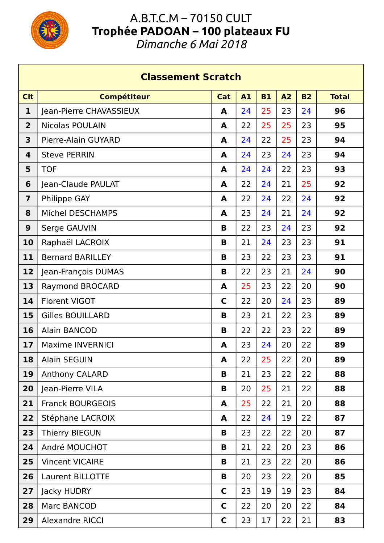

Г

## A.B.T.C.M – 70150 CULT **Trophée PADOAN – 100 plateaux FU**

*Dimanche 6 Mai 2018*

| <b>Classement Scratch</b> |                         |              |           |           |    |           |              |  |  |
|---------------------------|-------------------------|--------------|-----------|-----------|----|-----------|--------------|--|--|
| <b>Clt</b>                | <b>Compétiteur</b>      | Cat          | <b>A1</b> | <b>B1</b> | A2 | <b>B2</b> | <b>Total</b> |  |  |
| 1                         | Jean-Pierre CHAVASSIEUX | A            | 24        | 25        | 23 | 24        | 96           |  |  |
| $\overline{\mathbf{2}}$   | <b>Nicolas POULAIN</b>  | A            | 22        | 25        | 25 | 23        | 95           |  |  |
| 3                         | Pierre-Alain GUYARD     | A            | 24        | 22        | 25 | 23        | 94           |  |  |
| 4                         | <b>Steve PERRIN</b>     | A            | 24        | 23        | 24 | 23        | 94           |  |  |
| 5                         | <b>TOF</b>              | A            | 24        | 24        | 22 | 23        | 93           |  |  |
| 6                         | Jean-Claude PAULAT      | A            | 22        | 24        | 21 | 25        | 92           |  |  |
| $\overline{\mathbf{z}}$   | <b>Philippe GAY</b>     | A            | 22        | 24        | 22 | 24        | 92           |  |  |
| 8                         | Michel DESCHAMPS        | A            | 23        | 24        | 21 | 24        | 92           |  |  |
| 9                         | Serge GAUVIN            | B            | 22        | 23        | 24 | 23        | 92           |  |  |
| 10                        | Raphaël LACROIX         | B            | 21        | 24        | 23 | 23        | 91           |  |  |
| 11                        | <b>Bernard BARILLEY</b> | B            | 23        | 22        | 23 | 23        | 91           |  |  |
| 12                        | Jean-François DUMAS     | B            | 22        | 23        | 21 | 24        | 90           |  |  |
| 13                        | <b>Raymond BROCARD</b>  | A            | 25        | 23        | 22 | 20        | 90           |  |  |
| 14                        | <b>Florent VIGOT</b>    | $\mathsf{C}$ | 22        | 20        | 24 | 23        | 89           |  |  |
| 15                        | <b>Gilles BOUILLARD</b> | B            | 23        | 21        | 22 | 23        | 89           |  |  |
| 16                        | <b>Alain BANCOD</b>     | B            | 22        | 22        | 23 | 22        | 89           |  |  |
| 17                        | <b>Maxime INVERNICI</b> | A            | 23        | 24        | 20 | 22        | 89           |  |  |
| 18                        | Alain SEGUIN            | A            | 22        | 25        | 22 | 20        | 89           |  |  |
| 19                        | Anthony CALARD          | B            | 21        | 23        | 22 | 22        | 88           |  |  |
| 20                        | Jean-Pierre VILA        | B            | 20        | 25        | 21 | 22        | 88           |  |  |
| 21                        | <b>Franck BOURGEOIS</b> | A            | 25        | 22        | 21 | 20        | 88           |  |  |
| 22                        | Stéphane LACROIX        | A            | 22        | 24        | 19 | 22        | 87           |  |  |
| 23                        | Thierry BIEGUN          | В            | 23        | 22        | 22 | 20        | 87           |  |  |
| 24                        | André MOUCHOT           | В            | 21        | 22        | 20 | 23        | 86           |  |  |
| 25                        | <b>Vincent VICAIRE</b>  | B            | 21        | 23        | 22 | 20        | 86           |  |  |
| 26                        | Laurent BILLOTTE        | B            | 20        | 23        | 22 | 20        | 85           |  |  |
| 27                        | Jacky HUDRY             | C            | 23        | 19        | 19 | 23        | 84           |  |  |
| 28                        | Marc BANCOD             | C            | 22        | 20        | 20 | 22        | 84           |  |  |
| 29                        | Alexandre RICCI         | C            | 23        | 17        | 22 | 21        | 83           |  |  |